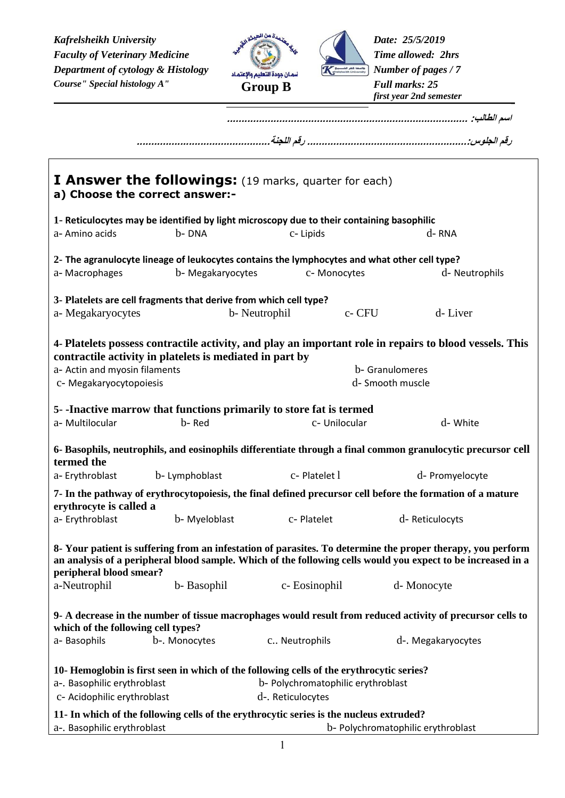*Kafrelsheikh University Faculty of Veterinary Medicine Figure 1.13 Medicine Particularly of Veterinary Medicine Particularly 1.13 Medicine Particularly 0.13 Medicine Particularly 0.13 Medicine* **<b>***Particularly 0.13 Medicine Department of cytology & Histology Number of pages / 7 Course" Special histology A"*



*Date: 25/5/2019 Full marks: 25 first year 2nd semester*

**اسم الطالب: ...................................................................................** 

|                                                            | I Answer the followings: (19 marks, quarter for each)<br>a) Choose the correct answer:-      |                                                         |                                     |                                                                                                                                                                                                                                           |
|------------------------------------------------------------|----------------------------------------------------------------------------------------------|---------------------------------------------------------|-------------------------------------|-------------------------------------------------------------------------------------------------------------------------------------------------------------------------------------------------------------------------------------------|
|                                                            | 1- Reticulocytes may be identified by light microscopy due to their containing basophilic    |                                                         |                                     |                                                                                                                                                                                                                                           |
| a- Amino acids                                             | b-DNA                                                                                        | c-Lipids                                                |                                     | d-RNA                                                                                                                                                                                                                                     |
|                                                            | 2- The agranulocyte lineage of leukocytes contains the lymphocytes and what other cell type? |                                                         |                                     |                                                                                                                                                                                                                                           |
| a-Macrophages                                              | b- Megakaryocytes                                                                            |                                                         | c- Monocytes                        | d- Neutrophils                                                                                                                                                                                                                            |
|                                                            | 3- Platelets are cell fragments that derive from which cell type?                            |                                                         |                                     |                                                                                                                                                                                                                                           |
| a- Megakaryocytes                                          |                                                                                              | b- Neutrophil                                           | c- CFU                              | d-Liver                                                                                                                                                                                                                                   |
| a- Actin and myosin filaments<br>c- Megakaryocytopoiesis   | contractile activity in platelets is mediated in part by                                     |                                                         | b- Granulomeres<br>d- Smooth muscle | 4- Platelets possess contractile activity, and play an important role in repairs to blood vessels. This                                                                                                                                   |
|                                                            | 5--Inactive marrow that functions primarily to store fat is termed                           |                                                         |                                     |                                                                                                                                                                                                                                           |
| a- Multilocular                                            | b-Red                                                                                        |                                                         | c- Unilocular                       | d- White                                                                                                                                                                                                                                  |
| termed the                                                 |                                                                                              |                                                         |                                     | 6- Basophils, neutrophils, and eosinophils differentiate through a final common granulocytic precursor cell                                                                                                                               |
| a-Erythroblast                                             | b- Lymphoblast                                                                               | c-Platelet 1                                            |                                     | d- Promyelocyte                                                                                                                                                                                                                           |
| erythrocyte is called a                                    |                                                                                              |                                                         |                                     | 7- In the pathway of erythrocytopoiesis, the final defined precursor cell before the formation of a mature                                                                                                                                |
| a- Erythroblast                                            | b- Myeloblast                                                                                | c-Platelet                                              |                                     | d-Reticulocyts                                                                                                                                                                                                                            |
| peripheral blood smear?<br>a-Neutrophil                    | b-Basophil                                                                                   | c-Eosinophil                                            |                                     | 8- Your patient is suffering from an infestation of parasites. To determine the proper therapy, you perform<br>an analysis of a peripheral blood sample. Which of the following cells would you expect to be increased in a<br>d-Monocyte |
| which of the following cell types?<br>a-Basophils          | b-. Monocytes                                                                                | c Neutrophils                                           |                                     | 9- A decrease in the number of tissue macrophages would result from reduced activity of precursor cells to<br>d-. Megakaryocytes                                                                                                          |
| a-. Basophilic erythroblast<br>c- Acidophilic erythroblast | 10- Hemoglobin is first seen in which of the following cells of the erythrocytic series?     | b- Polychromatophilic erythroblast<br>d-. Reticulocytes |                                     |                                                                                                                                                                                                                                           |
| a-. Basophilic erythroblast                                | 11- In which of the following cells of the erythrocytic series is the nucleus extruded?      |                                                         |                                     | b- Polychromatophilic erythroblast                                                                                                                                                                                                        |